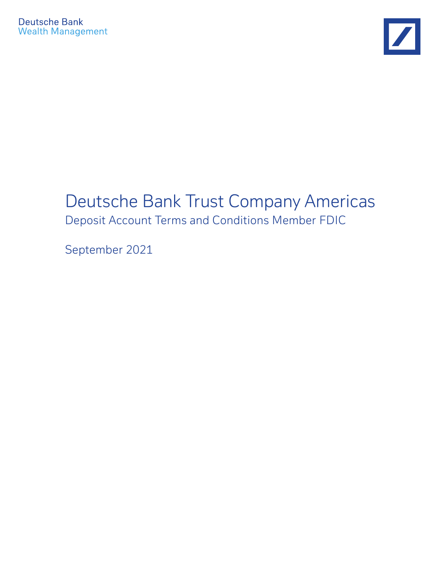

# Deutsche Bank Trust Company Americas Deposit Account Terms and Conditions Member FDIC

September 2021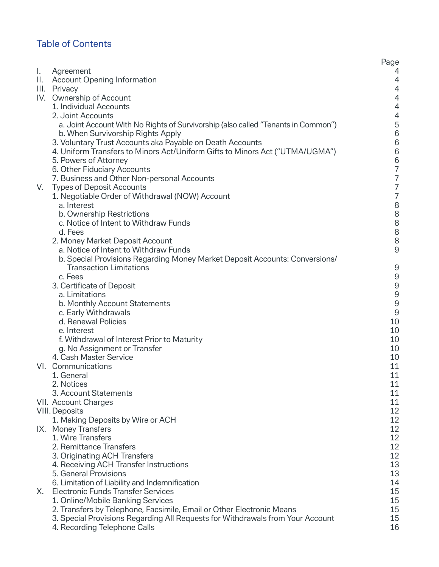# Table of Contents

|    |                                                                                   | Page                                       |
|----|-----------------------------------------------------------------------------------|--------------------------------------------|
| ١. | Agreement                                                                         | 4                                          |
|    | II. Account Opening Information                                                   | $\overline{4}$                             |
|    | III. Privacy                                                                      | $\overline{4}$                             |
|    | IV. Ownership of Account                                                          | $\overline{4}$                             |
|    | 1. Individual Accounts                                                            | $\overline{4}$                             |
|    | 2. Joint Accounts                                                                 |                                            |
|    | a. Joint Account With No Rights of Survivorship (also called "Tenants in Common") |                                            |
|    | b. When Survivorship Rights Apply                                                 |                                            |
|    | 3. Voluntary Trust Accounts aka Payable on Death Accounts                         |                                            |
|    | 4. Uniform Transfers to Minors Act/Uniform Gifts to Minors Act ("UTMA/UGMA")      |                                            |
|    | 5. Powers of Attorney                                                             | 4566667                                    |
|    | 6. Other Fiduciary Accounts                                                       |                                            |
|    | 7. Business and Other Non-personal Accounts                                       |                                            |
| V. | <b>Types of Deposit Accounts</b>                                                  | $\begin{array}{c} 7 \\ 7 \\ 7 \end{array}$ |
|    | 1. Negotiable Order of Withdrawal (NOW) Account<br>a. Interest                    |                                            |
|    | b. Ownership Restrictions                                                         |                                            |
|    | c. Notice of Intent to Withdraw Funds                                             |                                            |
|    | d. Fees                                                                           |                                            |
|    | 2. Money Market Deposit Account                                                   | 888888                                     |
|    | a. Notice of Intent to Withdraw Funds                                             |                                            |
|    | b. Special Provisions Regarding Money Market Deposit Accounts: Conversions/       |                                            |
|    | <b>Transaction Limitations</b>                                                    | 9                                          |
|    | c. Fees                                                                           | $\mathsf 9$                                |
|    | 3. Certificate of Deposit                                                         | $\mathsf 9$                                |
|    | a. Limitations                                                                    |                                            |
|    | b. Monthly Account Statements                                                     | $\frac{9}{9}$                              |
|    | c. Early Withdrawals                                                              | $\mathsf 9$                                |
|    | d. Renewal Policies                                                               | 10                                         |
|    | e. Interest                                                                       | 10                                         |
|    | f. Withdrawal of Interest Prior to Maturity                                       | 10                                         |
|    | g. No Assignment or Transfer                                                      | 10                                         |
|    | 4. Cash Master Service                                                            | 10                                         |
|    | VI. Communications                                                                | 11                                         |
|    | 1. General                                                                        | 11                                         |
|    | 2. Notices                                                                        | 11                                         |
|    | 3. Account Statements                                                             | 11                                         |
|    | VII. Account Charges                                                              | 11                                         |
|    | <b>VIII. Deposits</b>                                                             | 12                                         |
|    | 1. Making Deposits by Wire or ACH                                                 | 12<br>12                                   |
|    | IX. Money Transfers<br>1. Wire Transfers                                          | 12                                         |
|    | 2. Remittance Transfers                                                           | 12                                         |
|    | 3. Originating ACH Transfers                                                      | 12                                         |
|    | 4. Receiving ACH Transfer Instructions                                            | 13                                         |
|    | 5. General Provisions                                                             | 13                                         |
|    | 6. Limitation of Liability and Indemnification                                    | 14                                         |
| Х. | <b>Electronic Funds Transfer Services</b>                                         | 15                                         |
|    | 1. Online/Mobile Banking Services                                                 | 15                                         |
|    | 2. Transfers by Telephone, Facsimile, Email or Other Electronic Means             | 15                                         |
|    | 3. Special Provisions Regarding All Requests for Withdrawals from Your Account    | 15                                         |
|    | 4. Recording Telephone Calls                                                      | 16                                         |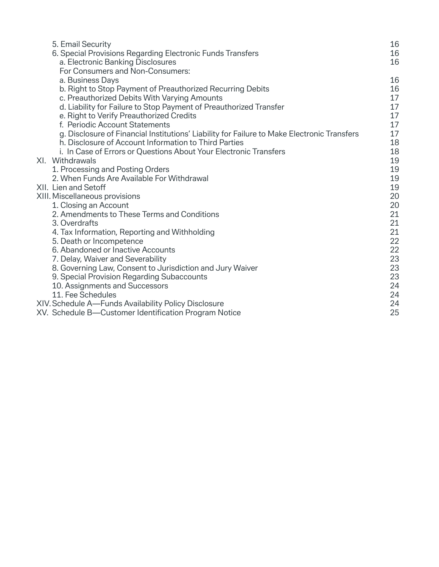| 5. Email Security                                                                           | 16 |
|---------------------------------------------------------------------------------------------|----|
| 6. Special Provisions Regarding Electronic Funds Transfers                                  | 16 |
| a. Electronic Banking Disclosures                                                           | 16 |
| For Consumers and Non-Consumers:                                                            |    |
| a. Business Days                                                                            | 16 |
| b. Right to Stop Payment of Preauthorized Recurring Debits                                  | 16 |
| c. Preauthorized Debits With Varying Amounts                                                | 17 |
| d. Liability for Failure to Stop Payment of Preauthorized Transfer                          | 17 |
| e. Right to Verify Preauthorized Credits                                                    | 17 |
| f. Periodic Account Statements                                                              | 17 |
| g. Disclosure of Financial Institutions' Liability for Failure to Make Electronic Transfers | 17 |
| h. Disclosure of Account Information to Third Parties                                       | 18 |
| i. In Case of Errors or Questions About Your Electronic Transfers                           | 18 |
| XI. Withdrawals                                                                             | 19 |
| 1. Processing and Posting Orders                                                            | 19 |
| 2. When Funds Are Available For Withdrawal                                                  | 19 |
| XII. Lien and Setoff                                                                        | 19 |
| XIII. Miscellaneous provisions                                                              | 20 |
| 1. Closing an Account                                                                       | 20 |
| 2. Amendments to These Terms and Conditions                                                 | 21 |
| 3. Overdrafts                                                                               | 21 |
| 4. Tax Information, Reporting and Withholding                                               | 21 |
| 5. Death or Incompetence                                                                    | 22 |
| 6. Abandoned or Inactive Accounts                                                           | 22 |
| 7. Delay, Waiver and Severability                                                           | 23 |
| 8. Governing Law, Consent to Jurisdiction and Jury Waiver                                   | 23 |
| 9. Special Provision Regarding Subaccounts                                                  | 23 |
| 10. Assignments and Successors                                                              | 24 |
| 11. Fee Schedules                                                                           | 24 |
| XIV. Schedule A—Funds Availability Policy Disclosure                                        | 24 |
| XV. Schedule B—Customer Identification Program Notice                                       | 25 |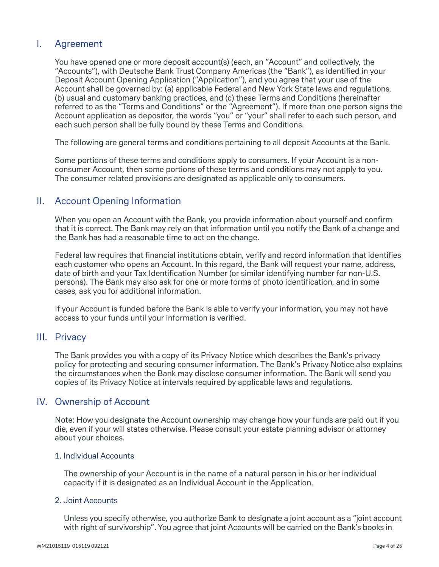# I. Agreement

 You have opened one or more deposit account(s) (each, an "Account" and collectively, the "Accounts"), with Deutsche Bank Trust Company Americas (the "Bank"), as identified in your Deposit Account Opening Application ("Application"), and you agree that your use of the Account shall be governed by: (a) applicable Federal and New York State laws and regulations, (b) usual and customary banking practices, and (c) these Terms and Conditions (hereinafter referred to as the "Terms and Conditions" or the "Agreement"). If more than one person signs the Account application as depositor, the words "you" or "your" shall refer to each such person, and each such person shall be fully bound by these Terms and Conditions.

The following are general terms and conditions pertaining to all deposit Accounts at the Bank.

 Some portions of these terms and conditions apply to consumers. If your Account is a nonconsumer Account, then some portions of these terms and conditions may not apply to you. The consumer related provisions are designated as applicable only to consumers.

# II. Account Opening Information

When you open an Account with the Bank, you provide information about yourself and confirm that it is correct. The Bank may rely on that information until you notify the Bank of a change and the Bank has had a reasonable time to act on the change.

Federal law requires that financial institutions obtain, verify and record information that identifies each customer who opens an Account. In this regard, the Bank will request your name, address, date of birth and your Tax Identification Number (or similar identifying number for non-U.S. persons). The Bank may also ask for one or more forms of photo identification, and in some cases, ask you for additional information.

 If your Account is funded before the Bank is able to verify your information, you may not have access to your funds until your information is verified.

# III. Privacy

 The Bank provides you with a copy of its Privacy Notice which describes the Bank's privacy policy for protecting and securing consumer information. The Bank's Privacy Notice also explains the circumstances when the Bank may disclose consumer information. The Bank will send you copies of its Privacy Notice at intervals required by applicable laws and regulations.

# IV. Ownership of Account

 Note: How you designate the Account ownership may change how your funds are paid out if you die, even if your will states otherwise. Please consult your estate planning advisor or attorney about your choices.

#### 1. Individual Accounts

 The ownership of your Account is in the name of a natural person in his or her individual capacity if it is designated as an Individual Account in the Application.

# 2. Joint Accounts

 Unless you specify otherwise, you authorize Bank to designate a joint account as a "joint account with right of survivorship". You agree that joint Accounts will be carried on the Bank's books in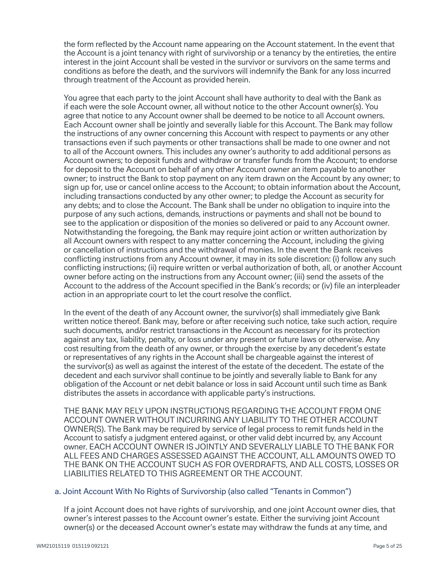the form reflected by the Account name appearing on the Account statement. In the event that the Account is a joint tenancy with right of survivorship or a tenancy by the entireties, the entire interest in the joint Account shall be vested in the survivor or survivors on the same terms and conditions as before the death, and the survivors will indemnify the Bank for any loss incurred through treatment of the Account as provided herein.

 You agree that each party to the joint Account shall have authority to deal with the Bank as if each were the sole Account owner, all without notice to the other Account owner(s). You agree that notice to any Account owner shall be deemed to be notice to all Account owners. Each Account owner shall be jointly and severally liable for this Account. The Bank may follow the instructions of any owner concerning this Account with respect to payments or any other transactions even if such payments or other transactions shall be made to one owner and not to all of the Account owners. This includes any owner's authority to add additional persons as Account owners; to deposit funds and withdraw or transfer funds from the Account; to endorse for deposit to the Account on behalf of any other Account owner an item payable to another owner; to instruct the Bank to stop payment on any item drawn on the Account by any owner; to sign up for, use or cancel online access to the Account; to obtain information about the Account, including transactions conducted by any other owner; to pledge the Account as security for any debts; and to close the Account. The Bank shall be under no obligation to inquire into the purpose of any such actions, demands, instructions or payments and shall not be bound to see to the application or disposition of the monies so delivered or paid to any Account owner. Notwithstanding the foregoing, the Bank may require joint action or written authorization by all Account owners with respect to any matter concerning the Account, including the giving or cancellation of instructions and the withdrawal of monies. In the event the Bank receives conflicting instructions from any Account owner, it may in its sole discretion: (i) follow any such conflicting instructions; (ii) require written or verbal authorization of both, all, or another Account owner before acting on the instructions from any Account owner; (iii) send the assets of the Account to the address of the Account specified in the Bank's records; or (iv) file an interpleader action in an appropriate court to let the court resolve the conflict.

 In the event of the death of any Account owner, the survivor(s) shall immediately give Bank written notice thereof. Bank may, before or after receiving such notice, take such action, require such documents, and/or restrict transactions in the Account as necessary for its protection against any tax, liability, penalty, or loss under any present or future laws or otherwise. Any cost resulting from the death of any owner, or through the exercise by any decedent's estate or representatives of any rights in the Account shall be chargeable against the interest of the survivor(s) as well as against the interest of the estate of the decedent. The estate of the decedent and each survivor shall continue to be jointly and severally liable to Bank for any obligation of the Account or net debit balance or loss in said Account until such time as Bank distributes the assets in accordance with applicable party's instructions.

 THE BANK MAY RELY UPON INSTRUCTIONS REGARDING THE ACCOUNT FROM ONE ACCOUNT OWNER WITHOUT INCURRING ANY LIABILITY TO THE OTHER ACCOUNT OWNER(S). The Bank may be required by service of legal process to remit funds held in the Account to satisfy a judgment entered against, or other valid debt incurred by, any Account owner. EACH ACCOUNT OWNER IS JOINTLY AND SEVERALLY LIABLE TO THE BANK FOR ALL FEES AND CHARGES ASSESSED AGAINST THE ACCOUNT, ALL AMOUNTS OWED TO THE BANK ON THE ACCOUNT SUCH AS FOR OVERDRAFTS, AND ALL COSTS, LOSSES OR LIABILITIES RELATED TO THIS AGREEMENT OR THE ACCOUNT.

#### a. Joint Account With No Rights of Survivorship (also called "Tenants in Common")

 If a joint Account does not have rights of survivorship, and one joint Account owner dies, that owner's interest passes to the Account owner's estate. Either the surviving joint Account owner(s) or the deceased Account owner's estate may withdraw the funds at any time, and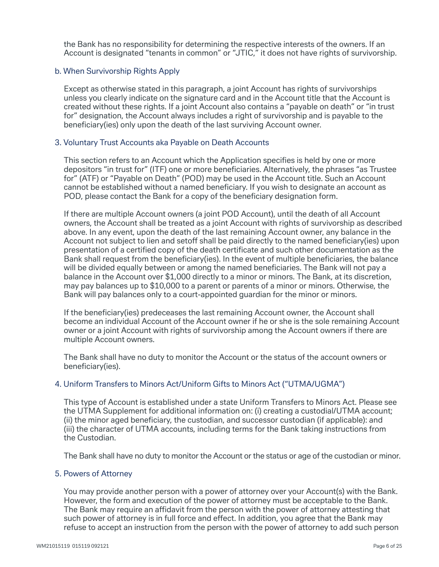the Bank has no responsibility for determining the respective interests of the owners. If an Account is designated "tenants in common" or "JTIC," it does not have rights of survivorship.

### b. When Survivorship Rights Apply

 Except as otherwise stated in this paragraph, a joint Account has rights of survivorships unless you clearly indicate on the signature card and in the Account title that the Account is created without these rights. If a joint Account also contains a "payable on death" or "in trust for" designation, the Account always includes a right of survivorship and is payable to the beneficiary(ies) only upon the death of the last surviving Account owner.

#### 3. Voluntary Trust Accounts aka Payable on Death Accounts

This section refers to an Account which the Application specifies is held by one or more depositors "in trust for" (ITF) one or more beneficiaries. Alternatively, the phrases "as Trustee for" (ATF) or "Payable on Death" (POD) may be used in the Account title. Such an Account cannot be established without a named beneficiary. If you wish to designate an account as POD, please contact the Bank for a copy of the beneficiary designation form.

 If there are multiple Account owners (a joint POD Account), until the death of all Account owners, the Account shall be treated as a joint Account with rights of survivorship as described above. In any event, upon the death of the last remaining Account owner, any balance in the Account not subject to lien and setoff shall be paid directly to the named beneficiary(ies) upon presentation of a certified copy of the death certificate and such other documentation as the Bank shall request from the beneficiary(ies). In the event of multiple beneficiaries, the balance will be divided equally between or among the named beneficiaries. The Bank will not pay a balance in the Account over \$1,000 directly to a minor or minors. The Bank, at its discretion, may pay balances up to \$10,000 to a parent or parents of a minor or minors. Otherwise, the Bank will pay balances only to a court-appointed guardian for the minor or minors.

If the beneficiary(ies) predeceases the last remaining Account owner, the Account shall become an individual Account of the Account owner if he or she is the sole remaining Account owner or a joint Account with rights of survivorship among the Account owners if there are multiple Account owners.

 The Bank shall have no duty to monitor the Account or the status of the account owners or beneficiary(ies).

# 4. Uniform Transfers to Minors Act/Uniform Gifts to Minors Act ("UTMA/UGMA")

 This type of Account is established under a state Uniform Transfers to Minors Act. Please see the UTMA Supplement for additional information on: (i) creating a custodial/UTMA account; (ii) the minor aged beneficiary, the custodian, and successor custodian (if applicable): and (iii) the character of UTMA accounts, including terms for the Bank taking instructions from the Custodian.

The Bank shall have no duty to monitor the Account or the status or age of the custodian or minor.

# 5. Powers of Attorney

 You may provide another person with a power of attorney over your Account(s) with the Bank. However, the form and execution of the power of attorney must be acceptable to the Bank. The Bank may require an affidavit from the person with the power of attorney attesting that such power of attorney is in full force and effect. In addition, you agree that the Bank may refuse to accept an instruction from the person with the power of attorney to add such person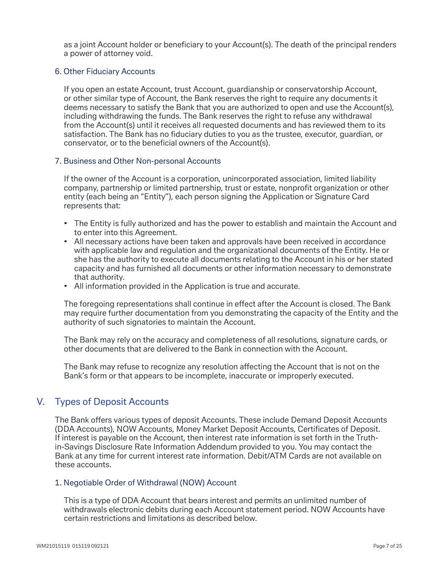as a joint Account holder or beneficiary to your Account(s). The death of the principal renders a power of attorney void.

### 6. Other Fiduciary Accounts

 If you open an estate Account, trust Account, guardianship or conservatorship Account, or other similar type of Account, the Bank reserves the right to require any documents it deems necessary to satisfy the Bank that you are authorized to open and use the Account(s), including withdrawing the funds. The Bank reserves the right to refuse any withdrawal from the Account(s) until it receives all requested documents and has reviewed them to its satisfaction. The Bank has no fiduciary duties to you as the trustee, executor, guardian, or conservator, or to the beneficial owners of the Account(s).

#### 7. Business and Other Non-personal Accounts

 If the owner of the Account is a corporation, unincorporated association, limited liability company, partnership or limited partnership, trust or estate, nonprofit organization or other entity (each being an "Entity"), each person signing the Application or Signature Card represents that:

- The Entity is fully authorized and has the power to establish and maintain the Account and to enter into this Agreement.
- All necessary actions have been taken and approvals have been received in accordance with applicable law and regulation and the organizational documents of the Entity. He or she has the authority to execute all documents relating to the Account in his or her stated capacity and has furnished all documents or other information necessary to demonstrate that authority.
- All information provided in the Application is true and accurate.

The foregoing representations shall continue in effect after the Account is closed. The Bank may require further documentation from you demonstrating the capacity of the Entity and the authority of such signatories to maintain the Account.

 The Bank may rely on the accuracy and completeness of all resolutions, signature cards, or other documents that are delivered to the Bank in connection with the Account.

The Bank may refuse to recognize any resolution affecting the Account that is not on the Bank's form or that appears to be incomplete, inaccurate or improperly executed.

# V. Types of Deposit Accounts

The Bank offers various types of deposit Accounts. These include Demand Deposit Accounts (DDA Accounts), NOW Accounts, Money Market Deposit Accounts, Certificates of Deposit. If interest is payable on the Account, then interest rate information is set forth in the Truthin-Savings Disclosure Rate Information Addendum provided to you. You may contact the Bank at any time for current interest rate information. Debit/ATM Cards are not available on these accounts.

# 1. Negotiable Order of Withdrawal (NOW) Account

 This is a type of DDA Account that bears interest and permits an unlimited number of withdrawals electronic debits during each Account statement period. NOW Accounts have certain restrictions and limitations as described below.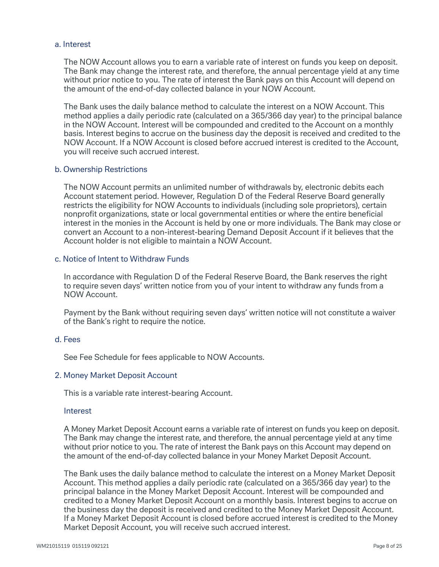#### a. Interest

 The NOW Account allows you to earn a variable rate of interest on funds you keep on deposit. The Bank may change the interest rate, and therefore, the annual percentage yield at any time without prior notice to you. The rate of interest the Bank pays on this Account will depend on the amount of the end-of-day collected balance in your NOW Account.

 The Bank uses the daily balance method to calculate the interest on a NOW Account. This method applies a daily periodic rate (calculated on a 365/366 day year) to the principal balance in the NOW Account. Interest will be compounded and credited to the Account on a monthly basis. Interest begins to accrue on the business day the deposit is received and credited to the NOW Account. If a NOW Account is closed before accrued interest is credited to the Account, you will receive such accrued interest.

#### b. Ownership Restrictions

 The NOW Account permits an unlimited number of withdrawals by, electronic debits each Account statement period. However, Regulation D of the Federal Reserve Board generally restricts the eligibility for NOW Accounts to individuals (including sole proprietors), certain nonprofit organizations, state or local governmental entities or where the entire beneficial interest in the monies in the Account is held by one or more individuals. The Bank may close or convert an Account to a non-interest-bearing Demand Deposit Account if it believes that the Account holder is not eligible to maintain a NOW Account.

#### c. Notice of Intent to Withdraw Funds

 In accordance with Regulation D of the Federal Reserve Board, the Bank reserves the right to require seven days' written notice from you of your intent to withdraw any funds from a NOW Account.

 Payment by the Bank without requiring seven days' written notice will not constitute a waiver of the Bank's right to require the notice.

#### d. Fees

See Fee Schedule for fees applicable to NOW Accounts.

#### 2. Money Market Deposit Account

This is a variable rate interest-bearing Account.

#### **Interest**

 A Money Market Deposit Account earns a variable rate of interest on funds you keep on deposit. The Bank may change the interest rate, and therefore, the annual percentage yield at any time without prior notice to you. The rate of interest the Bank pays on this Account may depend on the amount of the end-of-day collected balance in your Money Market Deposit Account.

 The Bank uses the daily balance method to calculate the interest on a Money Market Deposit Account. This method applies a daily periodic rate (calculated on a 365/366 day year) to the principal balance in the Money Market Deposit Account. Interest will be compounded and credited to a Money Market Deposit Account on a monthly basis. Interest begins to accrue on the business day the deposit is received and credited to the Money Market Deposit Account. If a Money Market Deposit Account is closed before accrued interest is credited to the Money Market Deposit Account, you will receive such accrued interest.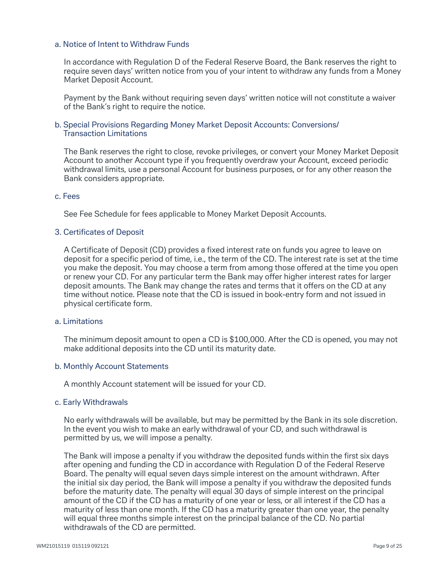#### a. Notice of Intent to Withdraw Funds

 In accordance with Regulation D of the Federal Reserve Board, the Bank reserves the right to require seven days' written notice from you of your intent to withdraw any funds from a Money Market Deposit Account.

 Payment by the Bank without requiring seven days' written notice will not constitute a waiver of the Bank's right to require the notice.

## b. Special Provisions Regarding Money Market Deposit Accounts: Conversions/ Transaction Limitations

 The Bank reserves the right to close, revoke privileges, or convert your Money Market Deposit Account to another Account type if you frequently overdraw your Account, exceed periodic withdrawal limits, use a personal Account for business purposes, or for any other reason the Bank considers appropriate.

#### c. Fees

See Fee Schedule for fees applicable to Money Market Deposit Accounts.

#### 3. Certificates of Deposit

A Certificate of Deposit (CD) provides a fixed interest rate on funds you agree to leave on deposit for a specific period of time, i.e., the term of the CD. The interest rate is set at the time you make the deposit. You may choose a term from among those offered at the time you open or renew your CD. For any particular term the Bank may offer higher interest rates for larger deposit amounts. The Bank may change the rates and terms that it offers on the CD at any time without notice. Please note that the CD is issued in book-entry form and not issued in physical certificate form.

#### a. Limitations

 The minimum deposit amount to open a CD is \$100,000. After the CD is opened, you may not make additional deposits into the CD until its maturity date.

#### b. Monthly Account Statements

A monthly Account statement will be issued for your CD.

#### c. Early Withdrawals

 No early withdrawals will be available, but may be permitted by the Bank in its sole discretion. In the event you wish to make an early withdrawal of your CD, and such withdrawal is permitted by us, we will impose a penalty.

The Bank will impose a penalty if you withdraw the deposited funds within the first six days after opening and funding the CD in accordance with Regulation D of the Federal Reserve Board. The penalty will equal seven days simple interest on the amount withdrawn. After the initial six day period, the Bank will impose a penalty if you withdraw the deposited funds before the maturity date. The penalty will equal 30 days of simple interest on the principal amount of the CD if the CD has a maturity of one year or less, or all interest if the CD has a maturity of less than one month. If the CD has a maturity greater than one year, the penalty will equal three months simple interest on the principal balance of the CD. No partial withdrawals of the CD are permitted.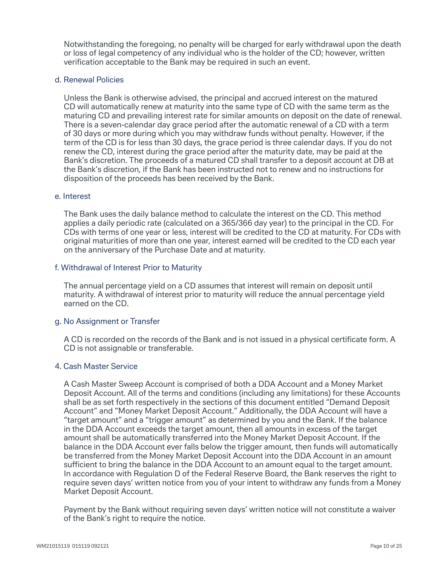Notwithstanding the foregoing, no penalty will be charged for early withdrawal upon the death or loss of legal competency of any individual who is the holder of the CD; however, written verification acceptable to the Bank may be required in such an event.

#### d. Renewal Policies

 Unless the Bank is otherwise advised, the principal and accrued interest on the matured CD will automatically renew at maturity into the same type of CD with the same term as the maturing CD and prevailing interest rate for similar amounts on deposit on the date of renewal. There is a seven-calendar day grace period after the automatic renewal of a CD with a term of 30 days or more during which you may withdraw funds without penalty. However, if the term of the CD is for less than 30 days, the grace period is three calendar days. If you do not renew the CD, interest during the grace period after the maturity date, may be paid at the Bank's discretion. The proceeds of a matured CD shall transfer to a deposit account at DB at the Bank's discretion, if the Bank has been instructed not to renew and no instructions for disposition of the proceeds has been received by the Bank.

#### e. Interest

 The Bank uses the daily balance method to calculate the interest on the CD. This method applies a daily periodic rate (calculated on a 365/366 day year) to the principal in the CD. For CDs with terms of one year or less, interest will be credited to the CD at maturity. For CDs with original maturities of more than one year, interest earned will be credited to the CD each year on the anniversary of the Purchase Date and at maturity.

#### f. Withdrawal of Interest Prior to Maturity

 The annual percentage yield on a CD assumes that interest will remain on deposit until maturity. A withdrawal of interest prior to maturity will reduce the annual percentage yield earned on the CD.

#### g. No Assignment or Transfer

A CD is recorded on the records of the Bank and is not issued in a physical certificate form. A CD is not assignable or transferable.

#### 4. Cash Master Service

 A Cash Master Sweep Account is comprised of both a DDA Account and a Money Market Deposit Account. All of the terms and conditions (including any limitations) for these Accounts shall be as set forth respectively in the sections of this document entitled "Demand Deposit Account" and "Money Market Deposit Account." Additionally, the DDA Account will have a "target amount" and a "trigger amount" as determined by you and the Bank. If the balance in the DDA Account exceeds the target amount, then all amounts in excess of the target amount shall be automatically transferred into the Money Market Deposit Account. If the balance in the DDA Account ever falls below the trigger amount, then funds will automatically be transferred from the Money Market Deposit Account into the DDA Account in an amount sufficient to bring the balance in the DDA Account to an amount equal to the target amount. In accordance with Regulation D of the Federal Reserve Board, the Bank reserves the right to require seven days' written notice from you of your intent to withdraw any funds from a Money Market Deposit Account.

 Payment by the Bank without requiring seven days' written notice will not constitute a waiver of the Bank's right to require the notice.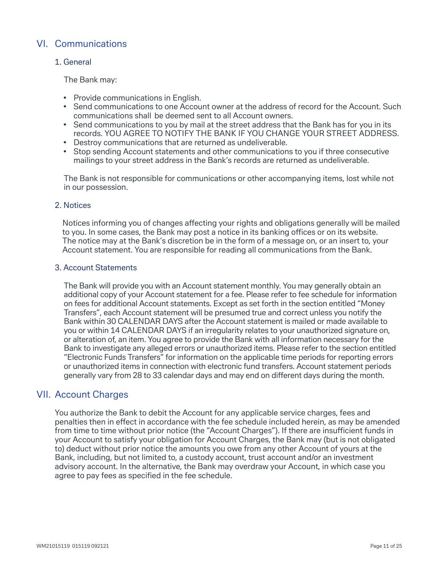# VI. Communications

# 1. General

The Bank may:

- Provide communications in English.
- Send communications to one Account owner at the address of record for the Account. Such communications shall be deemed sent to all Account owners.
- Send communications to you by mail at the street address that the Bank has for you in its records. YOU AGREE TO NOTIFY THE BANK IF YOU CHANGE YOUR STREET ADDRESS.
- Destroy communications that are returned as undeliverable.
- Stop sending Account statements and other communications to you if three consecutive mailings to your street address in the Bank's records are returned as undeliverable.

 The Bank is not responsible for communications or other accompanying items, lost while not in our possession.

# 2. Notices

Notices informing you of changes affecting your rights and obligations generally will be mailed to you. In some cases, the Bank may post a notice in its banking offices or on its website. The notice may at the Bank's discretion be in the form of a message on, or an insert to, your Account statement. You are responsible for reading all communications from the Bank.

# 3. Account Statements

 The Bank will provide you with an Account statement monthly. You may generally obtain an additional copy of your Account statement for a fee. Please refer to fee schedule for information on fees for additional Account statements. Except as set forth in the section entitled "Money Transfers", each Account statement will be presumed true and correct unless you notify the Bank within 30 CALENDAR DAYS after the Account statement is mailed or made available to you or within 14 CALENDAR DAYS if an irregularity relates to your unauthorized signature on, or alteration of, an item. You agree to provide the Bank with all information necessary for the Bank to investigate any alleged errors or unauthorized items. Please refer to the section entitled "Electronic Funds Transfers" for information on the applicable time periods for reporting errors or unauthorized items in connection with electronic fund transfers. Account statement periods generally vary from 28 to 33 calendar days and may end on different days during the month.

# VII. Account Charges

 You authorize the Bank to debit the Account for any applicable service charges, fees and penalties then in effect in accordance with the fee schedule included herein, as may be amended from time to time without prior notice (the "Account Charges"). If there are insufficient funds in your Account to satisfy your obligation for Account Charges, the Bank may (but is not obligated to) deduct without prior notice the amounts you owe from any other Account of yours at the Bank, including, but not limited to, a custody account, trust account and/or an investment advisory account. In the alternative, the Bank may overdraw your Account, in which case you agree to pay fees as specified in the fee schedule.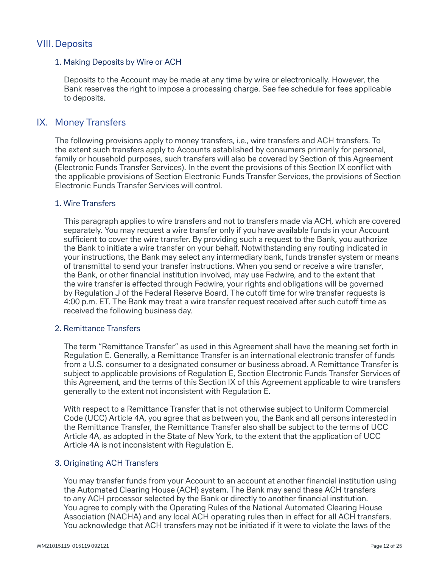# VIII.Deposits

## 1. Making Deposits by Wire or ACH

 Deposits to the Account may be made at any time by wire or electronically. However, the Bank reserves the right to impose a processing charge. See fee schedule for fees applicable to deposits.

# IX. Money Transfers

 The following provisions apply to money transfers, i.e., wire transfers and ACH transfers. To the extent such transfers apply to Accounts established by consumers primarily for personal, family or household purposes, such transfers will also be covered by Section of this Agreement (Electronic Funds Transfer Services). In the event the provisions of this Section IX conflict with the applicable provisions of Section Electronic Funds Transfer Services, the provisions of Section Electronic Funds Transfer Services will control.

### 1. Wire Transfers

 This paragraph applies to wire transfers and not to transfers made via ACH, which are covered separately. You may request a wire transfer only if you have available funds in your Account sufficient to cover the wire transfer. By providing such a request to the Bank, you authorize the Bank to initiate a wire transfer on your behalf. Notwithstanding any routing indicated in your instructions, the Bank may select any intermediary bank, funds transfer system or means of transmittal to send your transfer instructions. When you send or receive a wire transfer, the Bank, or other financial institution involved, may use Fedwire, and to the extent that the wire transfer is effected through Fedwire, your rights and obligations will be governed by Regulation J of the Federal Reserve Board. The cutoff time for wire transfer requests is 4:00 p.m. ET. The Bank may treat a wire transfer request received after such cutoff time as received the following business day.

# 2. Remittance Transfers

 The term "Remittance Transfer" as used in this Agreement shall have the meaning set forth in Regulation E. Generally, a Remittance Transfer is an international electronic transfer of funds from a U.S. consumer to a designated consumer or business abroad. A Remittance Transfer is subject to applicable provisions of Regulation E, Section Electronic Funds Transfer Services of this Agreement, and the terms of this Section IX of this Agreement applicable to wire transfers generally to the extent not inconsistent with Regulation E.

 With respect to a Remittance Transfer that is not otherwise subject to Uniform Commercial Code (UCC) Article 4A, you agree that as between you, the Bank and all persons interested in the Remittance Transfer, the Remittance Transfer also shall be subject to the terms of UCC Article 4A, as adopted in the State of New York, to the extent that the application of UCC Article 4A is not inconsistent with Regulation E.

# 3. Originating ACH Transfers

You may transfer funds from your Account to an account at another financial institution using the Automated Clearing House (ACH) system. The Bank may send these ACH transfers to any ACH processor selected by the Bank or directly to another financial institution. You agree to comply with the Operating Rules of the National Automated Clearing House Association (NACHA) and any local ACH operating rules then in effect for all ACH transfers. You acknowledge that ACH transfers may not be initiated if it were to violate the laws of the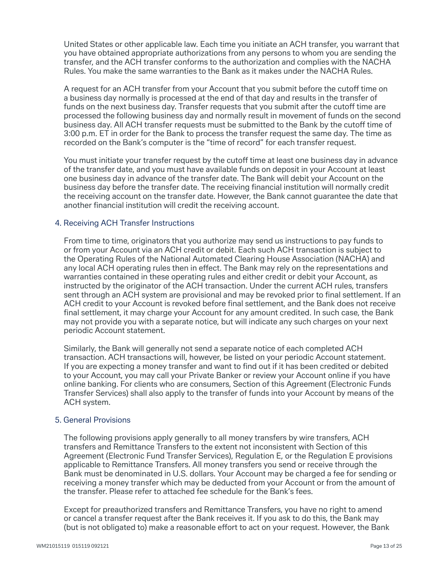United States or other applicable law. Each time you initiate an ACH transfer, you warrant that you have obtained appropriate authorizations from any persons to whom you are sending the transfer, and the ACH transfer conforms to the authorization and complies with the NACHA Rules. You make the same warranties to the Bank as it makes under the NACHA Rules.

A request for an ACH transfer from your Account that you submit before the cutoff time on a business day normally is processed at the end of that day and results in the transfer of funds on the next business day. Transfer requests that you submit after the cutoff time are processed the following business day and normally result in movement of funds on the second business day. All ACH transfer requests must be submitted to the Bank by the cutoff time of 3:00 p.m. ET in order for the Bank to process the transfer request the same day. The time as recorded on the Bank's computer is the "time of record" for each transfer request.

You must initiate your transfer request by the cutoff time at least one business day in advance of the transfer date, and you must have available funds on deposit in your Account at least one business day in advance of the transfer date. The Bank will debit your Account on the business day before the transfer date. The receiving financial institution will normally credit the receiving account on the transfer date. However, the Bank cannot guarantee the date that another financial institution will credit the receiving account.

### 4. Receiving ACH Transfer Instructions

 From time to time, originators that you authorize may send us instructions to pay funds to or from your Account via an ACH credit or debit. Each such ACH transaction is subject to the Operating Rules of the National Automated Clearing House Association (NACHA) and any local ACH operating rules then in effect. The Bank may rely on the representations and warranties contained in these operating rules and either credit or debit your Account, as instructed by the originator of the ACH transaction. Under the current ACH rules, transfers sent through an ACH system are provisional and may be revoked prior to final settlement. If an ACH credit to your Account is revoked before final settlement, and the Bank does not receive final settlement, it may charge your Account for any amount credited. In such case, the Bank may not provide you with a separate notice, but will indicate any such charges on your next periodic Account statement.

 Similarly, the Bank will generally not send a separate notice of each completed ACH transaction. ACH transactions will, however, be listed on your periodic Account statement. If you are expecting a money transfer and want to find out if it has been credited or debited to your Account, you may call your Private Banker or review your Account online if you have online banking. For clients who are consumers, Section of this Agreement (Electronic Funds Transfer Services) shall also apply to the transfer of funds into your Account by means of the ACH system.

# 5. General Provisions

 The following provisions apply generally to all money transfers by wire transfers, ACH transfers and Remittance Transfers to the extent not inconsistent with Section of this Agreement (Electronic Fund Transfer Services), Regulation E, or the Regulation E provisions applicable to Remittance Transfers. All money transfers you send or receive through the Bank must be denominated in U.S. dollars. Your Account may be charged a fee for sending or receiving a money transfer which may be deducted from your Account or from the amount of the transfer. Please refer to attached fee schedule for the Bank's fees.

 Except for preauthorized transfers and Remittance Transfers, you have no right to amend or cancel a transfer request after the Bank receives it. If you ask to do this, the Bank may (but is not obligated to) make a reasonable effort to act on your request. However, the Bank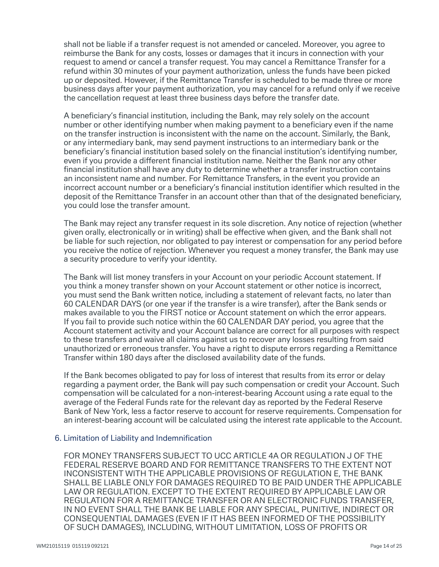shall not be liable if a transfer request is not amended or canceled. Moreover, you agree to reimburse the Bank for any costs, losses or damages that it incurs in connection with your request to amend or cancel a transfer request. You may cancel a Remittance Transfer for a refund within 30 minutes of your payment authorization, unless the funds have been picked up or deposited. However, if the Remittance Transfer is scheduled to be made three or more business days after your payment authorization, you may cancel for a refund only if we receive the cancellation request at least three business days before the transfer date.

A beneficiary's financial institution, including the Bank, may rely solely on the account number or other identifying number when making payment to a beneficiary even if the name on the transfer instruction is inconsistent with the name on the account. Similarly, the Bank, or any intermediary bank, may send payment instructions to an intermediary bank or the beneficiary's financial institution based solely on the financial institution's identifying number, even if you provide a different financial institution name. Neither the Bank nor any other financial institution shall have any duty to determine whether a transfer instruction contains an inconsistent name and number. For Remittance Transfers, in the event you provide an incorrect account number or a beneficiary's financial institution identifier which resulted in the deposit of the Remittance Transfer in an account other than that of the designated beneficiary, you could lose the transfer amount.

 The Bank may reject any transfer request in its sole discretion. Any notice of rejection (whether given orally, electronically or in writing) shall be effective when given, and the Bank shall not be liable for such rejection, nor obligated to pay interest or compensation for any period before you receive the notice of rejection. Whenever you request a money transfer, the Bank may use a security procedure to verify your identity.

 The Bank will list money transfers in your Account on your periodic Account statement. If you think a money transfer shown on your Account statement or other notice is incorrect, you must send the Bank written notice, including a statement of relevant facts, no later than 60 CALENDAR DAYS (or one year if the transfer is a wire transfer), after the Bank sends or makes available to you the FIRST notice or Account statement on which the error appears. If you fail to provide such notice within the 60 CALENDAR DAY period, you agree that the Account statement activity and your Account balance are correct for all purposes with respect to these transfers and waive all claims against us to recover any losses resulting from said unauthorized or erroneous transfer. You have a right to dispute errors regarding a Remittance Transfer within 180 days after the disclosed availability date of the funds.

 If the Bank becomes obligated to pay for loss of interest that results from its error or delay regarding a payment order, the Bank will pay such compensation or credit your Account. Such compensation will be calculated for a non-interest-bearing Account using a rate equal to the average of the Federal Funds rate for the relevant day as reported by the Federal Reserve Bank of New York, less a factor reserve to account for reserve requirements. Compensation for an interest-bearing account will be calculated using the interest rate applicable to the Account.

#### 6. Limitation of Liability and Indemnification

 FOR MONEY TRANSFERS SUBJECT TO UCC ARTICLE 4A OR REGULATION J OF THE FEDERAL RESERVE BOARD AND FOR REMITTANCE TRANSFERS TO THE EXTENT NOT INCONSISTENT WITH THE APPLICABLE PROVISIONS OF REGULATION E, THE BANK SHALL BE LIABLE ONLY FOR DAMAGES REQUIRED TO BE PAID UNDER THE APPLICABLE LAW OR REGULATION. EXCEPT TO THE EXTENT REQUIRED BY APPLICABLE LAW OR REGULATION FOR A REMITTANCE TRANSFER OR AN ELECTRONIC FUNDS TRANSFER, IN NO EVENT SHALL THE BANK BE LIABLE FOR ANY SPECIAL, PUNITIVE, INDIRECT OR CONSEQUENTIAL DAMAGES (EVEN IF IT HAS BEEN INFORMED OF THE POSSIBILITY OF SUCH DAMAGES), INCLUDING, WITHOUT LIMITATION, LOSS OF PROFITS OR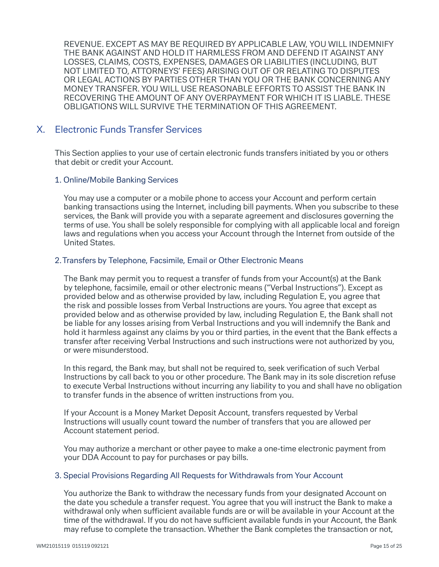REVENUE. EXCEPT AS MAY BE REQUIRED BY APPLICABLE LAW, YOU WILL INDEMNIFY THE BANK AGAINST AND HOLD IT HARMLESS FROM AND DEFEND IT AGAINST ANY LOSSES, CLAIMS, COSTS, EXPENSES, DAMAGES OR LIABILITIES (INCLUDING, BUT NOT LIMITED TO, ATTORNEYS' FEES) ARISING OUT OF OR RELATING TO DISPUTES OR LEGAL ACTIONS BY PARTIES OTHER THAN YOU OR THE BANK CONCERNING ANY MONEY TRANSFER. YOU WILL USE REASONABLE EFFORTS TO ASSIST THE BANK IN RECOVERING THE AMOUNT OF ANY OVERPAYMENT FOR WHICH IT IS LIABLE. THESE OBLIGATIONS WILL SURVIVE THE TERMINATION OF THIS AGREEMENT.

# X. Electronic Funds Transfer Services

 This Section applies to your use of certain electronic funds transfers initiated by you or others that debit or credit your Account.

#### 1. Online/Mobile Banking Services

 You may use a computer or a mobile phone to access your Account and perform certain banking transactions using the Internet, including bill payments. When you subscribe to these services, the Bank will provide you with a separate agreement and disclosures governing the terms of use. You shall be solely responsible for complying with all applicable local and foreign laws and regulations when you access your Account through the Internet from outside of the United States.

#### 2.Transfers by Telephone, Facsimile, Email or Other Electronic Means

 The Bank may permit you to request a transfer of funds from your Account(s) at the Bank by telephone, facsimile, email or other electronic means ("Verbal Instructions"). Except as provided below and as otherwise provided by law, including Regulation E, you agree that the risk and possible losses from Verbal Instructions are yours. You agree that except as provided below and as otherwise provided by law, including Regulation E, the Bank shall not be liable for any losses arising from Verbal Instructions and you will indemnify the Bank and hold it harmless against any claims by you or third parties, in the event that the Bank effects a transfer after receiving Verbal Instructions and such instructions were not authorized by you, or were misunderstood.

In this regard, the Bank may, but shall not be required to, seek verification of such Verbal Instructions by call back to you or other procedure. The Bank may in its sole discretion refuse to execute Verbal Instructions without incurring any liability to you and shall have no obligation to transfer funds in the absence of written instructions from you.

 If your Account is a Money Market Deposit Account, transfers requested by Verbal Instructions will usually count toward the number of transfers that you are allowed per Account statement period.

 You may authorize a merchant or other payee to make a one-time electronic payment from your DDA Account to pay for purchases or pay bills.

# 3. Special Provisions Regarding All Requests for Withdrawals from Your Account

 You authorize the Bank to withdraw the necessary funds from your designated Account on the date you schedule a transfer request. You agree that you will instruct the Bank to make a withdrawal only when sufficient available funds are or will be available in your Account at the time of the withdrawal. If you do not have sufficient available funds in your Account, the Bank may refuse to complete the transaction. Whether the Bank completes the transaction or not,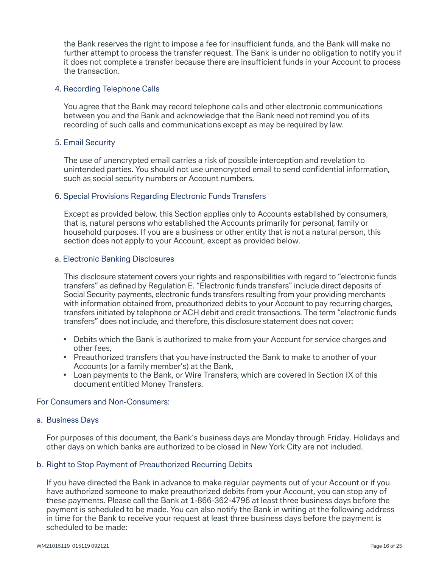the Bank reserves the right to impose a fee for insufficient funds, and the Bank will make no further attempt to process the transfer request. The Bank is under no obligation to notify you if it does not complete a transfer because there are insufficient funds in your Account to process the transaction.

### 4. Recording Telephone Calls

 You agree that the Bank may record telephone calls and other electronic communications between you and the Bank and acknowledge that the Bank need not remind you of its recording of such calls and communications except as may be required by law.

#### 5. Email Security

 The use of unencrypted email carries a risk of possible interception and revelation to unintended parties. You should not use unencrypted email to send confidential information, such as social security numbers or Account numbers.

### 6. Special Provisions Regarding Electronic Funds Transfers

 Except as provided below, this Section applies only to Accounts established by consumers, that is, natural persons who established the Accounts primarily for personal, family or household purposes. If you are a business or other entity that is not a natural person, this section does not apply to your Account, except as provided below.

#### a. Electronic Banking Disclosures

 This disclosure statement covers your rights and responsibilities with regard to "electronic funds transfers" as defined by Regulation E. "Electronic funds transfers" include direct deposits of Social Security payments, electronic funds transfers resulting from your providing merchants with information obtained from, preauthorized debits to your Account to pay recurring charges, transfers initiated by telephone or ACH debit and credit transactions. The term "electronic funds transfers" does not include, and therefore, this disclosure statement does not cover:

- Debits which the Bank is authorized to make from your Account for service charges and other fees,
- Preauthorized transfers that you have instructed the Bank to make to another of your Accounts (or a family member's) at the Bank,
- Loan payments to the Bank, or Wire Transfers, which are covered in Section IX of this document entitled Money Transfers.

#### For Consumers and Non-Consumers:

#### a. Business Days

 For purposes of this document, the Bank's business days are Monday through Friday. Holidays and other days on which banks are authorized to be closed in New York City are not included.

#### b. Right to Stop Payment of Preauthorized Recurring Debits

 If you have directed the Bank in advance to make regular payments out of your Account or if you have authorized someone to make preauthorized debits from your Account, you can stop any of these payments. Please call the Bank at 1-866-362-4796 at least three business days before the payment is scheduled to be made. You can also notify the Bank in writing at the following address in time for the Bank to receive your request at least three business days before the payment is scheduled to be made: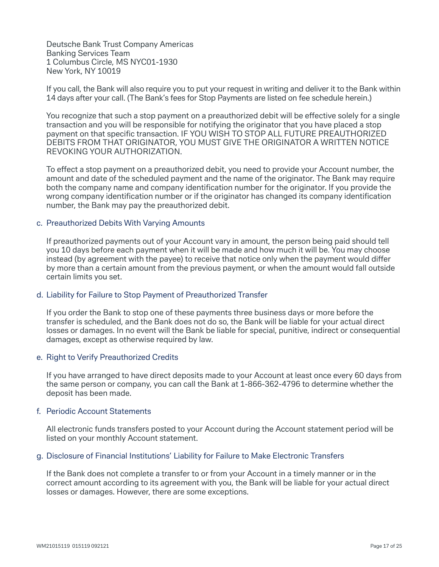Deutsche Bank Trust Company Americas Banking Services Team 1 Columbus Circle, MS NYC01-1930 New York, NY 10019

 If you call, the Bank will also require you to put your request in writing and deliver it to the Bank within 14 days after your call. (The Bank's fees for Stop Payments are listed on fee schedule herein.)

You recognize that such a stop payment on a preauthorized debit will be effective solely for a single transaction and you will be responsible for notifying the originator that you have placed a stop payment on that specific transaction. IF YOU WISH TO STOP ALL FUTURE PREAUTHORIZED DEBITS FROM THAT ORIGINATOR, YOU MUST GIVE THE ORIGINATOR A WRITTEN NOTICE REVOKING YOUR AUTHORIZATION.

To effect a stop payment on a preauthorized debit, you need to provide your Account number, the amount and date of the scheduled payment and the name of the originator. The Bank may require both the company name and company identification number for the originator. If you provide the wrong company identification number or if the originator has changed its company identification number, the Bank may pay the preauthorized debit.

#### c. Preauthorized Debits With Varying Amounts

 If preauthorized payments out of your Account vary in amount, the person being paid should tell you 10 days before each payment when it will be made and how much it will be. You may choose instead (by agreement with the payee) to receive that notice only when the payment would differ by more than a certain amount from the previous payment, or when the amount would fall outside certain limits you set.

#### d. Liability for Failure to Stop Payment of Preauthorized Transfer

 If you order the Bank to stop one of these payments three business days or more before the transfer is scheduled, and the Bank does not do so, the Bank will be liable for your actual direct losses or damages. In no event will the Bank be liable for special, punitive, indirect or consequential damages, except as otherwise required by law.

#### e. Right to Verify Preauthorized Credits

 If you have arranged to have direct deposits made to your Account at least once every 60 days from the same person or company, you can call the Bank at 1-866-362-4796 to determine whether the deposit has been made.

#### f. Periodic Account Statements

 All electronic funds transfers posted to your Account during the Account statement period will be listed on your monthly Account statement.

#### g. Disclosure of Financial Institutions' Liability for Failure to Make Electronic Transfers

 If the Bank does not complete a transfer to or from your Account in a timely manner or in the correct amount according to its agreement with you, the Bank will be liable for your actual direct losses or damages. However, there are some exceptions.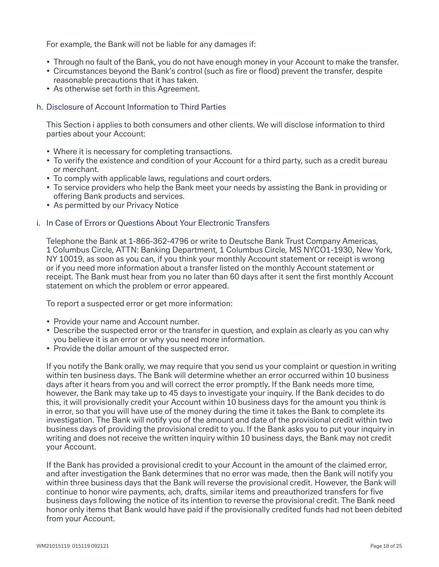For example, the Bank will not be liable for any damages if:

- Through no fault of the Bank, you do not have enough money in your Account to make the transfer.
- Circumstances beyond the Bank's control (such as fire or flood) prevent the transfer, despite reasonable precautions that it has taken.
- As otherwise set forth in this Agreement.

# h. Disclosure of Account Information to Third Parties

 This Section i applies to both consumers and other clients. We will disclose information to third parties about your Account:

- Where it is necessary for completing transactions.
- To verify the existence and condition of your Account for a third party, such as a credit bureau or merchant.
- To comply with applicable laws, regulations and court orders.
- To service providers who help the Bank meet your needs by assisting the Bank in providing or offering Bank products and services.
- As permitted by our Privacy Notice

### i. In Case of Errors or Questions About Your Electronic Transfers

 Telephone the Bank at 1-866-362-4796 or write to Deutsche Bank Trust Company Americas, 1 Columbus Circle, ATTN: Banking Department, 1 Columbus Circle, MS NYCO1-1930, New York, NY 10019, as soon as you can, if you think your monthly Account statement or receipt is wrong or if you need more information about a transfer listed on the monthly Account statement or receipt. The Bank must hear from you no later than 60 days after it sent the first monthly Account statement on which the problem or error appeared.

To report a suspected error or get more information:

- Provide your name and Account number.
- Describe the suspected error or the transfer in question, and explain as clearly as you can why you believe it is an error or why you need more information.
- Provide the dollar amount of the suspected error.

 If you notify the Bank orally, we may require that you send us your complaint or question in writing within ten business days. The Bank will determine whether an error occurred within 10 business days after it hears from you and will correct the error promptly. If the Bank needs more time, however, the Bank may take up to 45 days to investigate your inquiry. If the Bank decides to do this, it will provisionally credit your Account within 10 business days for the amount you think is in error, so that you will have use of the money during the time it takes the Bank to complete its investigation. The Bank will notify you of the amount and date of the provisional credit within two business days of providing the provisional credit to you. If the Bank asks you to put your inquiry in writing and does not receive the written inquiry within 10 business days, the Bank may not credit your Account.

 If the Bank has provided a provisional credit to your Account in the amount of the claimed error, and after investigation the Bank determines that no error was made, then the Bank will notify you within three business days that the Bank will reverse the provisional credit. However, the Bank will continue to honor wire payments, ach, drafts, similar items and preauthorized transfers for five business days following the notice of its intention to reverse the provisional credit. The Bank need honor only items that Bank would have paid if the provisionally credited funds had not been debited from your Account.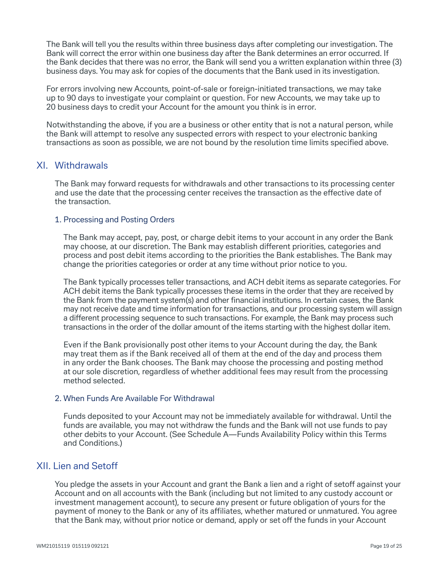The Bank will tell you the results within three business days after completing our investigation. The Bank will correct the error within one business day after the Bank determines an error occurred. If the Bank decides that there was no error, the Bank will send you a written explanation within three (3) business days. You may ask for copies of the documents that the Bank used in its investigation.

 For errors involving new Accounts, point-of-sale or foreign-initiated transactions, we may take up to 90 days to investigate your complaint or question. For new Accounts, we may take up to 20 business days to credit your Account for the amount you think is in error.

 Notwithstanding the above, if you are a business or other entity that is not a natural person, while the Bank will attempt to resolve any suspected errors with respect to your electronic banking transactions as soon as possible, we are not bound by the resolution time limits specified above.

# XI. Withdrawals

 The Bank may forward requests for withdrawals and other transactions to its processing center and use the date that the processing center receives the transaction as the effective date of the transaction.

#### 1. Processing and Posting Orders

The Bank may accept, pay, post, or charge debit items to your account in any order the Bank may choose, at our discretion. The Bank may establish different priorities, categories and process and post debit items according to the priorities the Bank establishes. The Bank may change the priorities categories or order at any time without prior notice to you.

The Bank typically processes teller transactions, and ACH debit items as separate categories. For ACH debit items the Bank typically processes these items in the order that they are received by the Bank from the payment system(s) and other financial institutions. In certain cases, the Bank may not receive date and time information for transactions, and our processing system will assign a different processing sequence to such transactions. For example, the Bank may process such transactions in the order of the dollar amount of the items starting with the highest dollar item.

Even if the Bank provisionally post other items to your Account during the day, the Bank may treat them as if the Bank received all of them at the end of the day and process them in any order the Bank chooses. The Bank may choose the processing and posting method at our sole discretion, regardless of whether additional fees may result from the processing method selected. 

#### 2. When Funds Are Available For Withdrawal

Funds deposited to your Account may not be immediately available for withdrawal. Until the funds are available, you may not withdraw the funds and the Bank will not use funds to pay other debits to your Account. (See Schedule A—Funds Availability Policy within this Terms and Conditions.)

# XII. Lien and Setoff

You pledge the assets in your Account and grant the Bank a lien and a right of setoff against your Account and on all accounts with the Bank (including but not limited to any custody account or investment management account), to secure any present or future obligation of yours for the payment of money to the Bank or any of its affiliates, whether matured or unmatured. You agree that the Bank may, without prior notice or demand, apply or set off the funds in your Account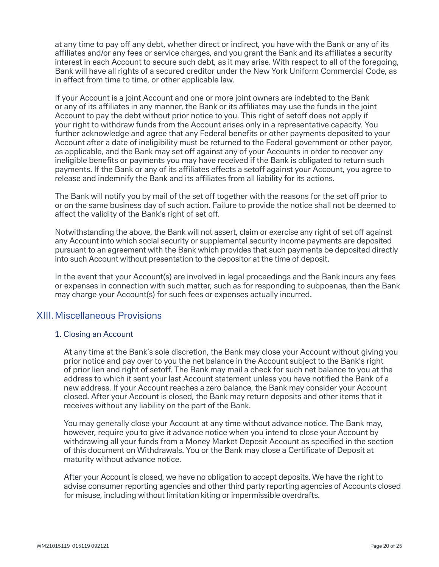at any time to pay off any debt, whether direct or indirect, you have with the Bank or any of its affiliates and/or any fees or service charges, and you grant the Bank and its affiliates a security interest in each Account to secure such debt, as it may arise. With respect to all of the foregoing, Bank will have all rights of a secured creditor under the New York Uniform Commercial Code, as in effect from time to time, or other applicable law.

If your Account is a joint Account and one or more joint owners are indebted to the Bank or any of its affiliates in any manner, the Bank or its affiliates may use the funds in the joint Account to pay the debt without prior notice to you. This right of setoff does not apply if your right to withdraw funds from the Account arises only in a representative capacity. You further acknowledge and agree that any Federal benefits or other payments deposited to your Account after a date of ineligibility must be returned to the Federal government or other payor, as applicable, and the Bank may set off against any of your Accounts in order to recover any ineligible benefits or payments you may have received if the Bank is obligated to return such payments. If the Bank or any of its affiliates effects a setoff against your Account, you agree to release and indemnify the Bank and its affiliates from all liability for its actions.

The Bank will notify you by mail of the set off together with the reasons for the set off prior to or on the same business day of such action. Failure to provide the notice shall not be deemed to affect the validity of the Bank's right of set off.

Notwithstanding the above, the Bank will not assert, claim or exercise any right of set off against any Account into which social security or supplemental security income payments are deposited pursuant to an agreement with the Bank which provides that such payments be deposited directly into such Account without presentation to the depositor at the time of deposit.

In the event that your Account(s) are involved in legal proceedings and the Bank incurs any fees or expenses in connection with such matter, such as for responding to subpoenas, then the Bank may charge your Account(s) for such fees or expenses actually incurred.

# XIII.Miscellaneous Provisions

# 1. Closing an Account

 At any time at the Bank's sole discretion, the Bank may close your Account without giving you prior notice and pay over to you the net balance in the Account subject to the Bank's right of prior lien and right of setoff. The Bank may mail a check for such net balance to you at the address to which it sent your last Account statement unless you have notified the Bank of a new address. If your Account reaches a zero balance, the Bank may consider your Account closed. After your Account is closed, the Bank may return deposits and other items that it receives without any liability on the part of the Bank.

 You may generally close your Account at any time without advance notice. The Bank may, however, require you to give it advance notice when you intend to close your Account by withdrawing all your funds from a Money Market Deposit Account as specified in the section of this document on Withdrawals. You or the Bank may close a Certificate of Deposit at maturity without advance notice.

 After your Account is closed, we have no obligation to accept deposits. We have the right to advise consumer reporting agencies and other third party reporting agencies of Accounts closed for misuse, including without limitation kiting or impermissible overdrafts.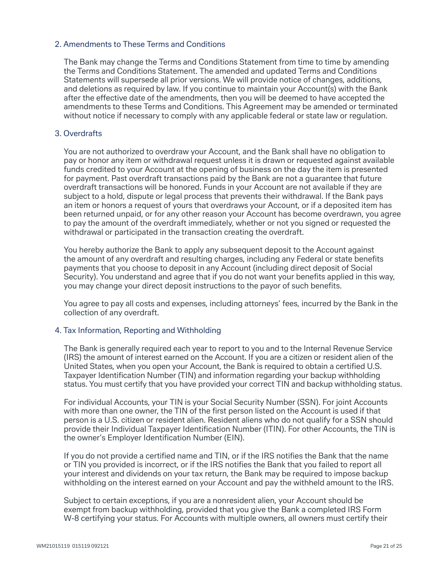# 2. Amendments to These Terms and Conditions

 The Bank may change the Terms and Conditions Statement from time to time by amending the Terms and Conditions Statement. The amended and updated Terms and Conditions Statements will supersede all prior versions. We will provide notice of changes, additions, and deletions as required by law. If you continue to maintain your Account(s) with the Bank after the effective date of the amendments, then you will be deemed to have accepted the amendments to these Terms and Conditions. This Agreement may be amended or terminated without notice if necessary to comply with any applicable federal or state law or regulation.

## 3. Overdrafts

 You are not authorized to overdraw your Account, and the Bank shall have no obligation to pay or honor any item or withdrawal request unless it is drawn or requested against available funds credited to your Account at the opening of business on the day the item is presented for payment. Past overdraft transactions paid by the Bank are not a guarantee that future overdraft transactions will be honored. Funds in your Account are not available if they are subject to a hold, dispute or legal process that prevents their withdrawal. If the Bank pays an item or honors a request of yours that overdraws your Account, or if a deposited item has been returned unpaid, or for any other reason your Account has become overdrawn, you agree to pay the amount of the overdraft immediately, whether or not you signed or requested the withdrawal or participated in the transaction creating the overdraft.

 You hereby authorize the Bank to apply any subsequent deposit to the Account against the amount of any overdraft and resulting charges, including any Federal or state benefits payments that you choose to deposit in any Account (including direct deposit of Social Security). You understand and agree that if you do not want your benefits applied in this way. you may change your direct deposit instructions to the payor of such benefits.

 You agree to pay all costs and expenses, including attorneys' fees, incurred by the Bank in the collection of any overdraft.

#### 4. Tax Information, Reporting and Withholding

 The Bank is generally required each year to report to you and to the Internal Revenue Service (IRS) the amount of interest earned on the Account. If you are a citizen or resident alien of the United States, when you open your Account, the Bank is required to obtain a certified U.S. Taxpayer Identification Number (TIN) and information regarding your backup withholding status. You must certify that you have provided your correct TIN and backup withholding status.

 For individual Accounts, your TIN is your Social Security Number (SSN). For joint Accounts with more than one owner, the TIN of the first person listed on the Account is used if that person is a U.S. citizen or resident alien. Resident aliens who do not qualify for a SSN should provide their Individual Taxpayer Identification Number (ITIN). For other Accounts, the TIN is the owner's Employer Identification Number (EIN).

If you do not provide a certified name and TIN, or if the IRS notifies the Bank that the name or TIN you provided is incorrect, or if the IRS notifies the Bank that you failed to report all your interest and dividends on your tax return, the Bank may be required to impose backup withholding on the interest earned on your Account and pay the withheld amount to the IRS.

 Subject to certain exceptions, if you are a nonresident alien, your Account should be exempt from backup withholding, provided that you give the Bank a completed IRS Form W-8 certifying your status. For Accounts with multiple owners, all owners must certify their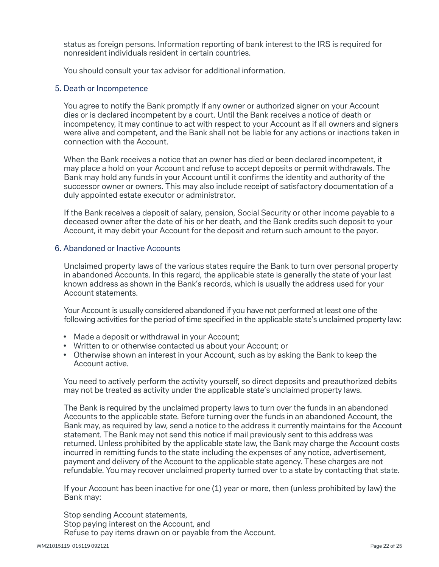status as foreign persons. Information reporting of bank interest to the IRS is required for nonresident individuals resident in certain countries.

You should consult your tax advisor for additional information.

#### 5. Death or Incompetence

 You agree to notify the Bank promptly if any owner or authorized signer on your Account dies or is declared incompetent by a court. Until the Bank receives a notice of death or incompetency, it may continue to act with respect to your Account as if all owners and signers were alive and competent, and the Bank shall not be liable for any actions or inactions taken in connection with the Account.

 When the Bank receives a notice that an owner has died or been declared incompetent, it may place a hold on your Account and refuse to accept deposits or permit withdrawals. The Bank may hold any funds in your Account until it confirms the identity and authority of the successor owner or owners. This may also include receipt of satisfactory documentation of a duly appointed estate executor or administrator.

 If the Bank receives a deposit of salary, pension, Social Security or other income payable to a deceased owner after the date of his or her death, and the Bank credits such deposit to your Account, it may debit your Account for the deposit and return such amount to the payor.

### 6. Abandoned or Inactive Accounts

 Unclaimed property laws of the various states require the Bank to turn over personal property in abandoned Accounts. In this regard, the applicable state is generally the state of your last known address as shown in the Bank's records, which is usually the address used for your Account statements.

 Your Account is usually considered abandoned if you have not performed at least one of the following activities for the period of time specified in the applicable state's unclaimed property law:

- Made a deposit or withdrawal in your Account;
- Written to or otherwise contacted us about your Account; or
- Otherwise shown an interest in your Account, such as by asking the Bank to keep the Account active.

 You need to actively perform the activity yourself, so direct deposits and preauthorized debits may not be treated as activity under the applicable state's unclaimed property laws.

 The Bank is required by the unclaimed property laws to turn over the funds in an abandoned Accounts to the applicable state. Before turning over the funds in an abandoned Account, the Bank may, as required by law, send a notice to the address it currently maintains for the Account statement. The Bank may not send this notice if mail previously sent to this address was returned. Unless prohibited by the applicable state law, the Bank may charge the Account costs incurred in remitting funds to the state including the expenses of any notice, advertisement, payment and delivery of the Account to the applicable state agency. These charges are not refundable. You may recover unclaimed property turned over to a state by contacting that state.

 If your Account has been inactive for one (1) year or more, then (unless prohibited by law) the Bank may:

Stop sending Account statements, Stop paying interest on the Account, and Refuse to pay items drawn on or payable from the Account.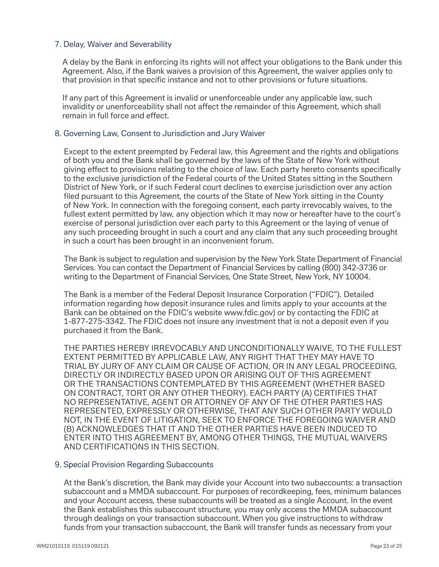# 7. Delay, Waiver and Severability

A delay by the Bank in enforcing its rights will not affect your obligations to the Bank under this Agreement. Also, if the Bank waives a provision of this Agreement, the waiver applies only to that provision in that specific instance and not to other provisions or future situations.

 If any part of this Agreement is invalid or unenforceable under any applicable law, such invalidity or unenforceability shall not affect the remainder of this Agreement, which shall remain in full force and effect.

## 8. Governing Law, Consent to Jurisdiction and Jury Waiver

 Except to the extent preempted by Federal law, this Agreement and the rights and obligations of both you and the Bank shall be governed by the laws of the State of New York without giving effect to provisions relating to the choice of law. Each party hereto consents specifically to the exclusive jurisdiction of the Federal courts of the United States sitting in the Southern District of New York, or if such Federal court declines to exercise jurisdiction over any action filed pursuant to this Agreement, the courts of the State of New York sitting in the County of New York. In connection with the foregoing consent, each party irrevocably waives, to the fullest extent permitted by law, any objection which it may now or hereafter have to the court's exercise of personal jurisdiction over each party to this Agreement or the laying of venue of any such proceeding brought in such a court and any claim that any such proceeding brought in such a court has been brought in an inconvenient forum.

 The Bank is subject to regulation and supervision by the New York State Department of Financial Services. You can contact the Department of Financial Services by calling (800) 342-3736 or writing to the Department of Financial Services, One State Street, New York, NY 10004.

 The Bank is a member of the Federal Deposit Insurance Corporation ("FDIC"). Detailed information regarding how deposit insurance rules and limits apply to your accounts at the Bank can be obtained on the FDIC's website [www.fdic.gov\)](http://www.fdic.gov)) or by contacting the FDIC at 1-877-275-3342. The FDIC does not insure any investment that is not a deposit even if you purchased it from the Bank.

 THE PARTIES HEREBY IRREVOCABLY AND UNCONDITIONALLY WAIVE, TO THE FULLEST EXTENT PERMITTED BY APPLICABLE LAW, ANY RIGHT THAT THEY MAY HAVE TO TRIAL BY JURY OF ANY CLAIM OR CAUSE OF ACTION, OR IN ANY LEGAL PROCEEDING, DIRECTLY OR INDIRECTLY BASED UPON OR ARISING OUT OF THIS AGREEMENT OR THE TRANSACTIONS CONTEMPLATED BY THIS AGREEMENT (WHETHER BASED ON CONTRACT, TORT OR ANY OTHER THEORY). EACH PARTY (A) CERTIFIES THAT NO REPRESENTATIVE, AGENT OR ATTORNEY OF ANY OF THE OTHER PARTIES HAS REPRESENTED, EXPRESSLY OR OTHERWISE, THAT ANY SUCH OTHER PARTY WOULD NOT, IN THE EVENT OF LITIGATION, SEEK TO ENFORCE THE FOREGOING WAIVER AND (B) ACKNOWLEDGES THAT IT AND THE OTHER PARTIES HAVE BEEN INDUCED TO ENTER INTO THIS AGREEMENT BY, AMONG OTHER THINGS, THE MUTUAL WAIVERS AND CERTIFICATIONS IN THIS SECTION.

#### 9. Special Provision Regarding Subaccounts

 At the Bank's discretion, the Bank may divide your Account into two subaccounts: a transaction subaccount and a MMDA subaccount. For purposes of recordkeeping, fees, minimum balances and your Account access, these subaccounts will be treated as a single Account. In the event the Bank establishes this subaccount structure, you may only access the MMDA subaccount through dealings on your transaction subaccount. When you give instructions to withdraw funds from your transaction subaccount, the Bank will transfer funds as necessary from your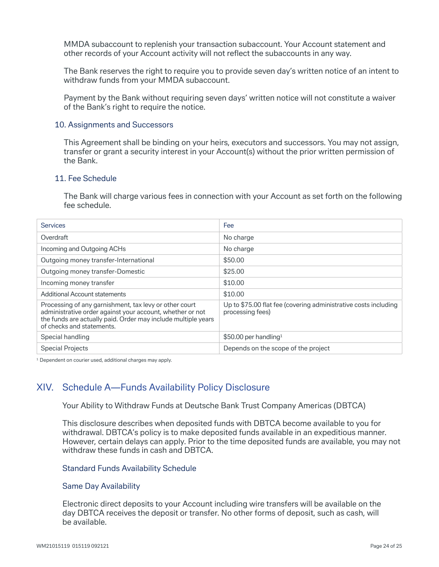MMDA subaccount to replenish your transaction subaccount. Your Account statement and other records of your Account activity will not reflect the subaccounts in any way.

 The Bank reserves the right to require you to provide seven day's written notice of an intent to withdraw funds from your MMDA subaccount.

 Payment by the Bank without requiring seven days' written notice will not constitute a waiver of the Bank's right to require the notice.

#### 10. Assignments and Successors

 This Agreement shall be binding on your heirs, executors and successors. You may not assign, transfer or grant a security interest in your Account(s) without the prior written permission of the Bank.

#### 11. Fee Schedule

 The Bank will charge various fees in connection with your Account as set forth on the following fee schedule.

| <b>Services</b>                                                                                                                                                                                                   | Fee                                                                                 |  |
|-------------------------------------------------------------------------------------------------------------------------------------------------------------------------------------------------------------------|-------------------------------------------------------------------------------------|--|
| Overdraft                                                                                                                                                                                                         | No charge                                                                           |  |
| Incoming and Outgoing ACHs                                                                                                                                                                                        | No charge                                                                           |  |
| Outgoing money transfer-International                                                                                                                                                                             | \$50.00                                                                             |  |
| Outgoing money transfer-Domestic                                                                                                                                                                                  | \$25.00                                                                             |  |
| Incoming money transfer                                                                                                                                                                                           | \$10.00                                                                             |  |
| <b>Additional Account statements</b>                                                                                                                                                                              | \$10.00                                                                             |  |
| Processing of any garnishment, tax levy or other court<br>administrative order against your account, whether or not<br>the funds are actually paid. Order may include multiple years<br>of checks and statements. | Up to \$75.00 flat fee (covering administrative costs including<br>processing fees) |  |
| Special handling                                                                                                                                                                                                  | $$50.00$ per handling <sup>1</sup>                                                  |  |
| <b>Special Projects</b>                                                                                                                                                                                           | Depends on the scope of the project                                                 |  |

<sup>1</sup> Dependent on courier used, additional charges may apply.

# XIV. Schedule A—Funds Availability Policy Disclosure

Your Ability to Withdraw Funds at Deutsche Bank Trust Company Americas (DBTCA)

 This disclosure describes when deposited funds with DBTCA become available to you for withdrawal. DBTCA's policy is to make deposited funds available in an expeditious manner. However, certain delays can apply. Prior to the time deposited funds are available, you may not withdraw these funds in cash and DBTCA.

#### Standard Funds Availability Schedule

#### Same Day Availability

 Electronic direct deposits to your Account including wire transfers will be available on the day DBTCA receives the deposit or transfer. No other forms of deposit, such as cash, will be available.